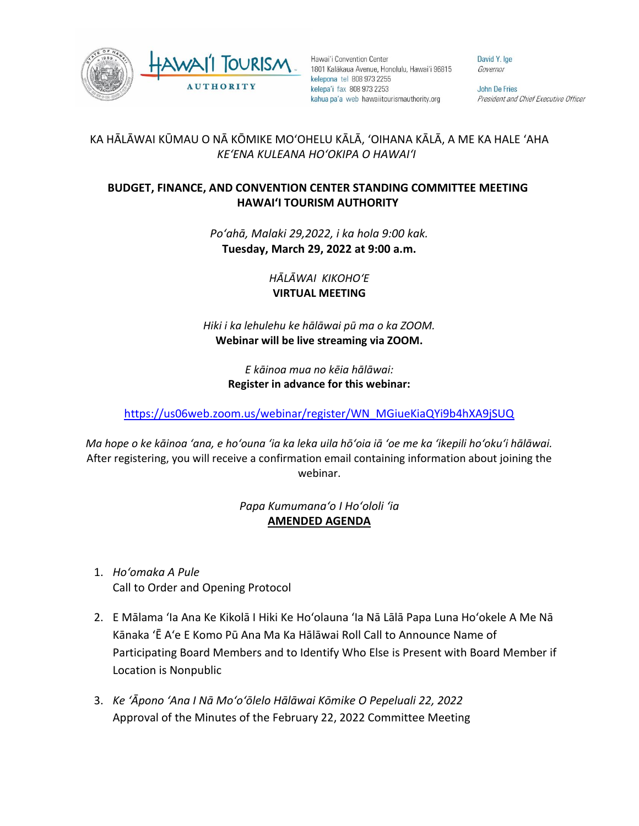



Hawai'i Convention Center 1801 Kalākaua Avenue, Honolulu, Hawai'i 96815 kelepona tel 808 973 2255 kelepa'i fax 808 973 2253 kahua pa'a web hawaiitourismauthority.org

David Y. Ige Governor

John De Fries President and Chief Executive Officer

## KA HĀLĀWAI KŪMAU O NĀ KŌMIKE MOʻOHELU KĀLĀ, ʻOIHANA KĀLĀ, A ME KA HALE ʻAHA *KEʻENA KULEANA HOʻOKIPA O HAWAIʻI*

## **BUDGET, FINANCE, AND CONVENTION CENTER STANDING COMMITTEE MEETING HAWAI'I TOURISM AUTHORITY**

*Poʻahā, Malaki 29,2022, i ka hola 9:00 kak.* **Tuesday, March 29, 2022 at 9:00 a.m.**

> *HĀLĀWAI KIKOHOʻE* **VIRTUAL MEETING**

*Hiki i ka lehulehu ke hālāwai pū ma o ka ZOOM.*  **Webinar will be live streaming via ZOOM.**

> *E kāinoa mua no kēia hālāwai:* **Register in advance for this webinar:**

[https://us06web.zoom.us/webinar/register/WN\\_MGiueKiaQYi9b4hXA9jSUQ](https://us06web.zoom.us/webinar/register/WN_MGiueKiaQYi9b4hXA9jSUQ)

*Ma hope o ke kāinoa ʻana, e hoʻouna ʻia ka leka uila hōʻoia iā ʻoe me ka ʻikepili hoʻokuʻi hālāwai.* After registering, you will receive a confirmation email containing information about joining the webinar.

> *Papa Kumumanaʻo I Hoʻololi ʻia*  **AMENDED AGENDA**

- 1. *Hoʻomaka A Pule* Call to Order and Opening Protocol
- 2. E Mālama ʻIa Ana Ke Kikolā I Hiki Ke Hoʻolauna ʻIa Nā Lālā Papa Luna Hoʻokele A Me Nā Kānaka ʻĒ Aʻe E Komo Pū Ana Ma Ka Hālāwai Roll Call to Announce Name of Participating Board Members and to Identify Who Else is Present with Board Member if Location is Nonpublic
- 3. *Ke ʻĀpono ʻAna I Nā Moʻoʻōlelo Hālāwai Kōmike O Pepeluali 22, 2022* Approval of the Minutes of the February 22, 2022 Committee Meeting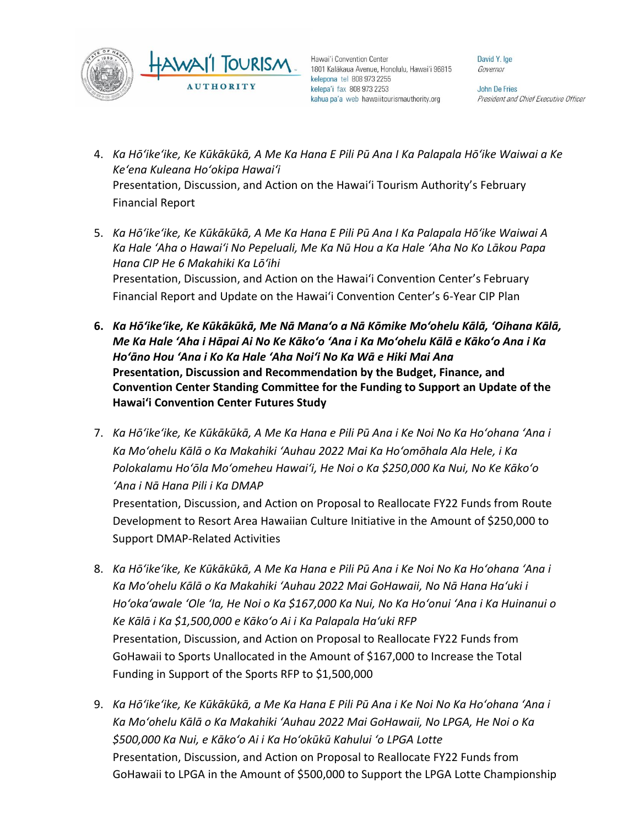



Hawai'i Convention Center 1801 Kalākaua Avenue, Honolulu, Hawai'i 96815 kelepona tel 808 973 2255 kelepa'i fax 808 973 2253 kahua pa'a web hawaiitourismauthority.org

David Y. Ige Governor

John De Fries President and Chief Executive Officer

- 4. *Ka Hōʻikeʻike, Ke Kūkākūkā, A Me Ka Hana E Pili Pū Ana I Ka Palapala Hōʻike Waiwai a Ke Keʻena Kuleana Hoʻokipa Hawaiʻi* Presentation, Discussion, and Action on the Hawai'i Tourism Authority's February Financial Report
- 5. *Ka Hōʻikeʻike, Ke Kūkākūkā, A Me Ka Hana E Pili Pū Ana I Ka Palapala Hōʻike Waiwai A Ka Hale ʻAha o Hawaiʻi No Pepeluali, Me Ka Nū Hou a Ka Hale ʻAha No Ko Lākou Papa Hana CIP He 6 Makahiki Ka Lōʻihi* Presentation, Discussion, and Action on the Hawai'i Convention Center's February Financial Report and Update on the Hawai'i Convention Center's 6-Year CIP Plan
- **6.** *Ka Hōʻikeʻike, Ke Kūkākūkā, Me Nā Manaʻo a Nā Kōmike Moʻohelu Kālā, ʻOihana Kālā, Me Ka Hale ʻAha i Hāpai Ai No Ke Kākoʻo ʻAna i Ka Moʻohelu Kālā e Kākoʻo Ana i Ka Hoʻāno Hou ʻAna i Ko Ka Hale ʻAha Noiʻi No Ka Wā e Hiki Mai Ana* **Presentation, Discussion and Recommendation by the Budget, Finance, and Convention Center Standing Committee for the Funding to Support an Update of the Hawai'i Convention Center Futures Study**
- 7. *Ka Hōʻikeʻike, Ke Kūkākūkā, A Me Ka Hana e Pili Pū Ana i Ke Noi No Ka Hoʻohana ʻAna i Ka Moʻohelu Kālā o Ka Makahiki ʻAuhau 2022 Mai Ka Hoʻomōhala Ala Hele, i Ka Polokalamu Hoʻōla Moʻomeheu Hawaiʻi, He Noi o Ka \$250,000 Ka Nui, No Ke Kākoʻo ʻAna i Nā Hana Pili i Ka DMAP*

Presentation, Discussion, and Action on Proposal to Reallocate FY22 Funds from Route Development to Resort Area Hawaiian Culture Initiative in the Amount of \$250,000 to Support DMAP-Related Activities

- 8. *Ka Hōʻikeʻike, Ke Kūkākūkā, A Me Ka Hana e Pili Pū Ana i Ke Noi No Ka Hoʻohana ʻAna i Ka Moʻohelu Kālā o Ka Makahiki ʻAuhau 2022 Mai GoHawaii, No Nā Hana Haʻuki i Hoʻokaʻawale ʻOle ʻIa, He Noi o Ka \$167,000 Ka Nui, No Ka Hoʻonui ʻAna i Ka Huinanui o Ke Kālā i Ka \$1,500,000 e Kākoʻo Ai i Ka Palapala Haʻuki RFP* Presentation, Discussion, and Action on Proposal to Reallocate FY22 Funds from GoHawaii to Sports Unallocated in the Amount of \$167,000 to Increase the Total Funding in Support of the Sports RFP to \$1,500,000
- 9. *Ka Hōʻikeʻike, Ke Kūkākūkā, a Me Ka Hana E Pili Pū Ana i Ke Noi No Ka Hoʻohana ʻAna i Ka Moʻohelu Kālā o Ka Makahiki ʻAuhau 2022 Mai GoHawaii, No LPGA, He Noi o Ka \$500,000 Ka Nui, e Kākoʻo Ai i Ka Hoʻokūkū Kahului ʻo LPGA Lotte* Presentation, Discussion, and Action on Proposal to Reallocate FY22 Funds from GoHawaii to LPGA in the Amount of \$500,000 to Support the LPGA Lotte Championship